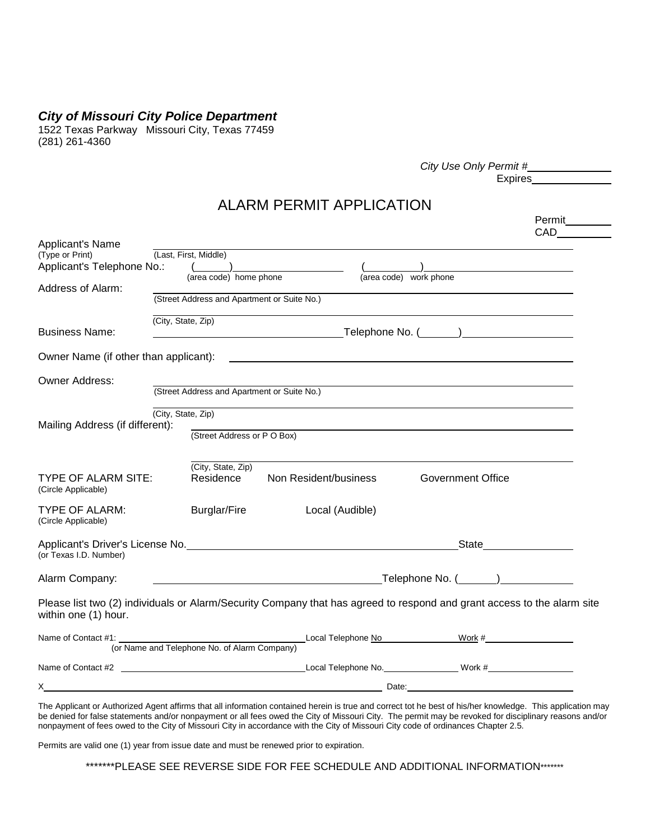## *City of Missouri City Police Department*

1522 Texas Parkway Missouri City, Texas 77459 (281) 261-4360

| City Use Only Permit # |  |
|------------------------|--|
| Expires                |  |

Permit

## ALARM PERMIT APPLICATION

| Applicant's Name<br>(Type or Print)<br>Applicant's Telephone No.:                                                                               | (Last, First, Middle)<br>(area code) home phone   |                                                                           | (area code) work phone                                                           |  |
|-------------------------------------------------------------------------------------------------------------------------------------------------|---------------------------------------------------|---------------------------------------------------------------------------|----------------------------------------------------------------------------------|--|
| Address of Alarm:                                                                                                                               | (Street Address and Apartment or Suite No.)       |                                                                           |                                                                                  |  |
| <b>Business Name:</b>                                                                                                                           | (City, State, Zip)                                | <u>Telephone No. (Call Charles Community)</u>                             |                                                                                  |  |
| Owner Name (if other than applicant):                                                                                                           |                                                   | <u> 1989 - Johann John Stone, markin fan de Amerikaansk kommunister (</u> |                                                                                  |  |
| <b>Owner Address:</b>                                                                                                                           | (Street Address and Apartment or Suite No.)       |                                                                           |                                                                                  |  |
| Mailing Address (if different):                                                                                                                 | (City, State, Zip)<br>(Street Address or P O Box) |                                                                           |                                                                                  |  |
| <b>TYPE OF ALARM SITE:</b><br>(Circle Applicable)                                                                                               | (City, State, Zip)<br>Residence                   | Non Resident/business                                                     | <b>Government Office</b>                                                         |  |
| <b>TYPE OF ALARM:</b><br>(Circle Applicable)                                                                                                    | <b>Burglar/Fire</b>                               | Local (Audible)                                                           |                                                                                  |  |
| (or Texas I.D. Number)                                                                                                                          |                                                   |                                                                           | State <u>State</u>                                                               |  |
| Alarm Company:                                                                                                                                  |                                                   |                                                                           |                                                                                  |  |
| Please list two (2) individuals or Alarm/Security Company that has agreed to respond and grant access to the alarm site<br>within one (1) hour. |                                                   |                                                                           |                                                                                  |  |
| Name of Contact #1:                                                                                                                             | (or Name and Telephone No. of Alarm Company)      |                                                                           | Local Telephone No Work # Work #                                                 |  |
| Name of Contact #2                                                                                                                              |                                                   |                                                                           | Local Telephone No. ______________________ Work #_______________________________ |  |
| <u> 2008 - Andrea Andrew Maria (h. 1878).</u>                                                                                                   |                                                   |                                                                           | Date: <u>Date:</u>                                                               |  |

The Applicant or Authorized Agent affirms that all information contained herein is true and correct tot he best of his/her knowledge. This application may be denied for false statements and/or nonpayment or all fees owed the City of Missouri City. The permit may be revoked for disciplinary reasons and/or nonpayment of fees owed to the City of Missouri City in accordance with the City of Missouri City code of ordinances Chapter 2.5.

Permits are valid one (1) year from issue date and must be renewed prior to expiration.

\*\*\*\*\*\*\*PLEASE SEE REVERSE SIDE FOR FEE SCHEDULE AND ADDITIONAL INFORMATION\*\*\*\*\*\*\*